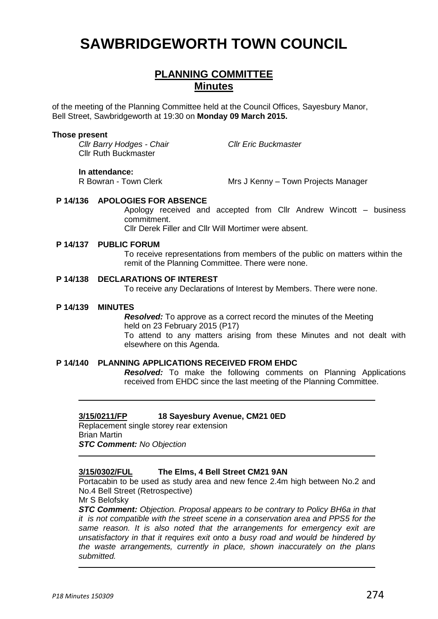# **SAWBRIDGEWORTH TOWN COUNCIL**

## **PLANNING COMMITTEE Minutes**

of the meeting of the Planning Committee held at the Council Offices, Sayesbury Manor, Bell Street, Sawbridgeworth at 19:30 on **Monday 09 March 2015.**

#### **Those present**

*Cllr Barry Hodges - Chair Cllr Eric Buckmaster* Cllr Ruth Buckmaster

**In attendance:**<br>R Bowran - Town Clerk

Mrs J Kenny – Town Projects Manager

### **P 14/136 APOLOGIES FOR ABSENCE**

Apology received and accepted from Cllr Andrew Wincott – business commitment. Cllr Derek Filler and Cllr Will Mortimer were absent.

#### **P 14/137 PUBLIC FORUM**

To receive representations from members of the public on matters within the remit of the Planning Committee. There were none.

#### **P 14/138 DECLARATIONS OF INTEREST**

To receive any Declarations of Interest by Members. There were none.

#### **P 14/139 MINUTES**

*Resolved:* To approve as a correct record the minutes of the Meeting held on 23 February 2015 (P17) To attend to any matters arising from these Minutes and not dealt with elsewhere on this Agenda.

#### **P 14/140 PLANNING APPLICATIONS RECEIVED FROM EHDC**

*Resolved:* To make the following comments on Planning Applications received from EHDC since the last meeting of the Planning Committee.

#### **3/15/0211/FP 18 Sayesbury Avenue, CM21 0ED**

Replacement single storey rear extension Brian Martin *STC Comment: No Objection*

#### **3/15/0302/FUL The Elms, 4 Bell Street CM21 9AN**

Portacabin to be used as study area and new fence 2.4m high between No.2 and No.4 Bell Street (Retrospective)

Mr S Belofsky

*STC Comment: Objection. Proposal appears to be contrary to Policy BH6a in that it is not compatible with the street scene in a conservation area and PPS5 for the same reason. It is also noted that the arrangements for emergency exit are unsatisfactory in that it requires exit onto a busy road and would be hindered by the waste arrangements, currently in place, shown inaccurately on the plans submitted.*